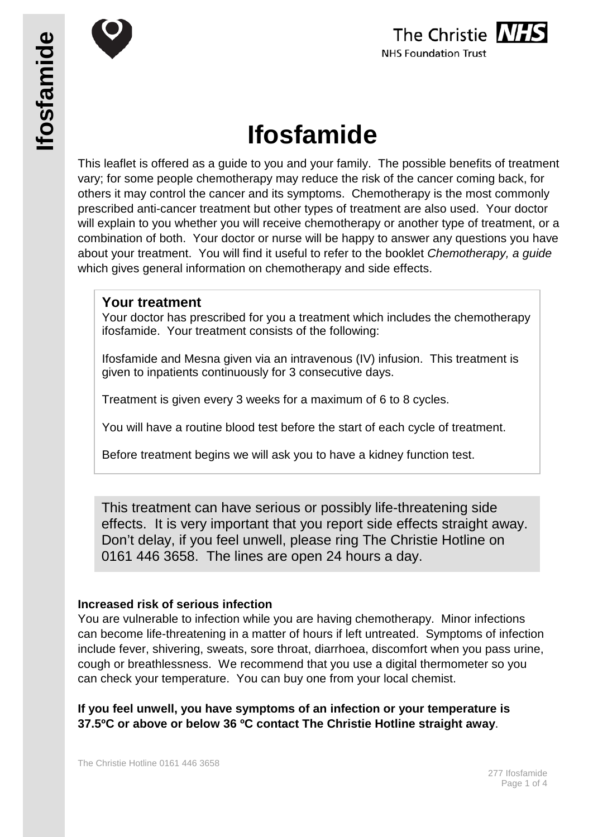





# **Ifosfamide**

This leaflet is offered as a guide to you and your family. The possible benefits of treatment vary; for some people chemotherapy may reduce the risk of the cancer coming back, for others it may control the cancer and its symptoms. Chemotherapy is the most commonly prescribed anti-cancer treatment but other types of treatment are also used. Your doctor will explain to you whether you will receive chemotherapy or another type of treatment, or a combination of both. Your doctor or nurse will be happy to answer any questions you have about your treatment. You will find it useful to refer to the booklet *Chemotherapy, a guide* which gives general information on chemotherapy and side effects.

# **Your treatment**

Your doctor has prescribed for you a treatment which includes the chemotherapy ifosfamide. Your treatment consists of the following:

Ifosfamide and Mesna given via an intravenous (IV) infusion. This treatment is given to inpatients continuously for 3 consecutive days.

Treatment is given every 3 weeks for a maximum of 6 to 8 cycles.

You will have a routine blood test before the start of each cycle of treatment.

Before treatment begins we will ask you to have a kidney function test.

This treatment can have serious or possibly life-threatening side effects. It is very important that you report side effects straight away. Don't delay, if you feel unwell, please ring The Christie Hotline on 0161 446 3658. The lines are open 24 hours a day.

# **Increased risk of serious infection**

You are vulnerable to infection while you are having chemotherapy. Minor infections can become life-threatening in a matter of hours if left untreated. Symptoms of infection include fever, shivering, sweats, sore throat, diarrhoea, discomfort when you pass urine, cough or breathlessness. We recommend that you use a digital thermometer so you can check your temperature. You can buy one from your local chemist.

**If you feel unwell, you have symptoms of an infection or your temperature is 37.5ºC or above or below 36 ºC contact The Christie Hotline straight away**.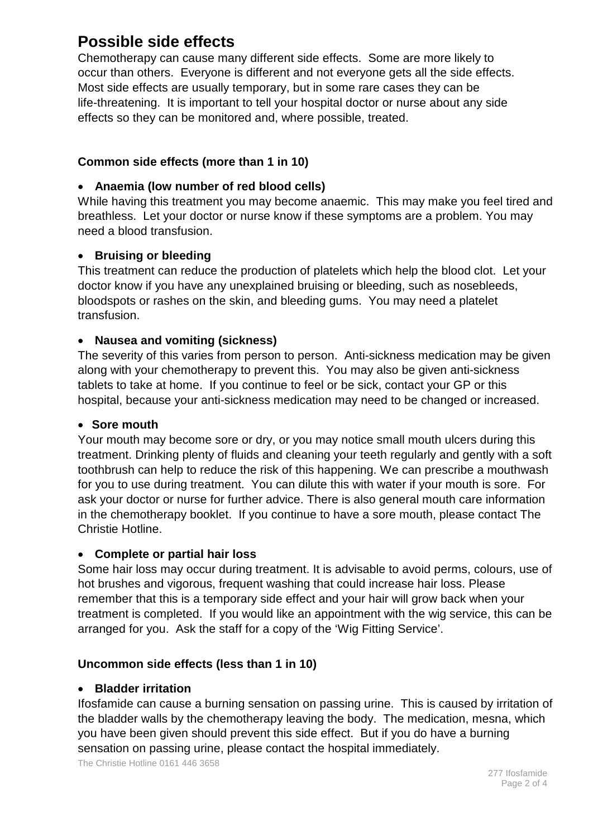# **Possible side effects**

Chemotherapy can cause many different side effects. Some are more likely to occur than others. Everyone is different and not everyone gets all the side effects. Most side effects are usually temporary, but in some rare cases they can be life-threatening. It is important to tell your hospital doctor or nurse about any side effects so they can be monitored and, where possible, treated.

# **Common side effects (more than 1 in 10)**

# • **Anaemia (low number of red blood cells)**

While having this treatment you may become anaemic. This may make you feel tired and breathless. Let your doctor or nurse know if these symptoms are a problem. You may need a blood transfusion.

# • **Bruising or bleeding**

This treatment can reduce the production of platelets which help the blood clot. Let your doctor know if you have any unexplained bruising or bleeding, such as nosebleeds, bloodspots or rashes on the skin, and bleeding gums. You may need a platelet transfusion.

#### • **Nausea and vomiting (sickness)**

The severity of this varies from person to person. Anti-sickness medication may be given along with your chemotherapy to prevent this. You may also be given anti-sickness tablets to take at home. If you continue to feel or be sick, contact your GP or this hospital, because your anti-sickness medication may need to be changed or increased.

#### • **Sore mouth**

Your mouth may become sore or dry, or you may notice small mouth ulcers during this treatment. Drinking plenty of fluids and cleaning your teeth regularly and gently with a soft toothbrush can help to reduce the risk of this happening. We can prescribe a mouthwash for you to use during treatment. You can dilute this with water if your mouth is sore. For ask your doctor or nurse for further advice. There is also general mouth care information in the chemotherapy booklet. If you continue to have a sore mouth, please contact The Christie Hotline.

#### • **Complete or partial hair loss**

Some hair loss may occur during treatment. It is advisable to avoid perms, colours, use of hot brushes and vigorous, frequent washing that could increase hair loss. Please remember that this is a temporary side effect and your hair will grow back when your treatment is completed. If you would like an appointment with the wig service, this can be arranged for you. Ask the staff for a copy of the 'Wig Fitting Service'.

# **Uncommon side effects (less than 1 in 10)**

#### • **Bladder irritation**

Ifosfamide can cause a burning sensation on passing urine. This is caused by irritation of the bladder walls by the chemotherapy leaving the body. The medication, mesna, which you have been given should prevent this side effect. But if you do have a burning sensation on passing urine, please contact the hospital immediately.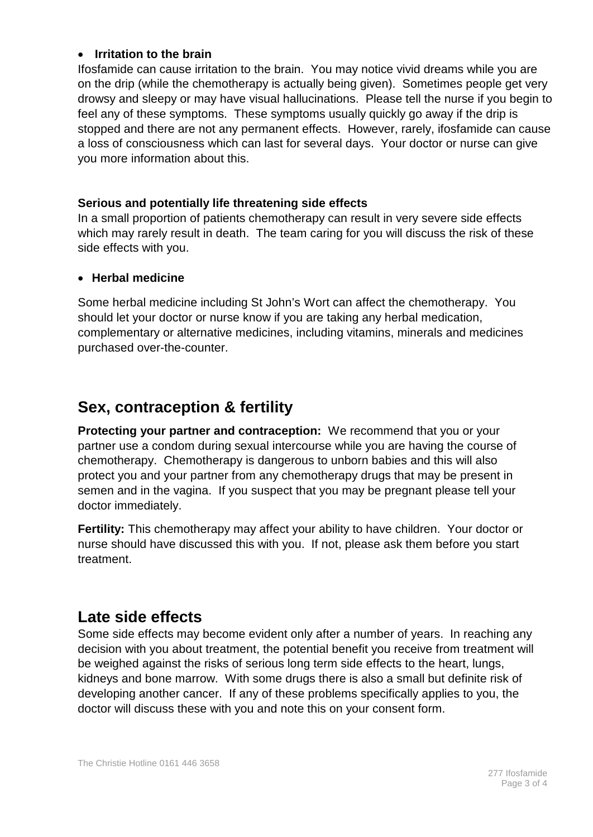#### • **Irritation to the brain**

Ifosfamide can cause irritation to the brain. You may notice vivid dreams while you are on the drip (while the chemotherapy is actually being given). Sometimes people get very drowsy and sleepy or may have visual hallucinations. Please tell the nurse if you begin to feel any of these symptoms. These symptoms usually quickly go away if the drip is stopped and there are not any permanent effects. However, rarely, ifosfamide can cause a loss of consciousness which can last for several days. Your doctor or nurse can give you more information about this.

# **Serious and potentially life threatening side effects**

In a small proportion of patients chemotherapy can result in very severe side effects which may rarely result in death. The team caring for you will discuss the risk of these side effects with you.

# • **Herbal medicine**

Some herbal medicine including St John's Wort can affect the chemotherapy. You should let your doctor or nurse know if you are taking any herbal medication, complementary or alternative medicines, including vitamins, minerals and medicines purchased over-the-counter.

# **Sex, contraception & fertility**

**Protecting your partner and contraception:** We recommend that you or your partner use a condom during sexual intercourse while you are having the course of chemotherapy. Chemotherapy is dangerous to unborn babies and this will also protect you and your partner from any chemotherapy drugs that may be present in semen and in the vagina. If you suspect that you may be pregnant please tell your doctor immediately.

**Fertility:** This chemotherapy may affect your ability to have children. Your doctor or nurse should have discussed this with you. If not, please ask them before you start treatment.

# **Late side effects**

Some side effects may become evident only after a number of years. In reaching any decision with you about treatment, the potential benefit you receive from treatment will be weighed against the risks of serious long term side effects to the heart, lungs, kidneys and bone marrow. With some drugs there is also a small but definite risk of developing another cancer. If any of these problems specifically applies to you, the doctor will discuss these with you and note this on your consent form.